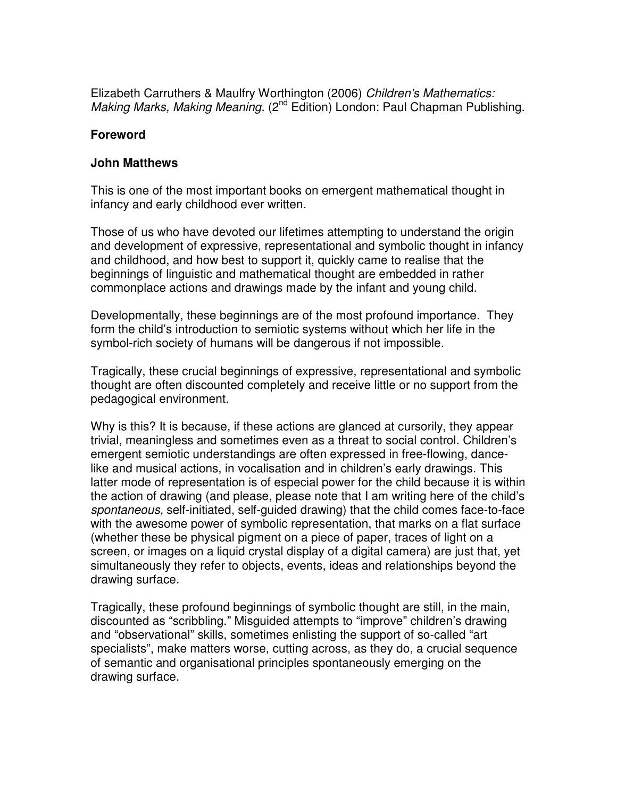Elizabeth Carruthers & Maulfry Worthington (2006) Children's Mathematics: Making Marks, Making Meaning. (2<sup>nd</sup> Edition) London: Paul Chapman Publishing.

## **Foreword**

## **John Matthews**

This is one of the most important books on emergent mathematical thought in infancy and early childhood ever written.

Those of us who have devoted our lifetimes attempting to understand the origin and development of expressive, representational and symbolic thought in infancy and childhood, and how best to support it, quickly came to realise that the beginnings of linguistic and mathematical thought are embedded in rather commonplace actions and drawings made by the infant and young child.

Developmentally, these beginnings are of the most profound importance. They form the child's introduction to semiotic systems without which her life in the symbol-rich society of humans will be dangerous if not impossible.

Tragically, these crucial beginnings of expressive, representational and symbolic thought are often discounted completely and receive little or no support from the pedagogical environment.

Why is this? It is because, if these actions are glanced at cursorily, they appear trivial, meaningless and sometimes even as a threat to social control. Children's emergent semiotic understandings are often expressed in free-flowing, dancelike and musical actions, in vocalisation and in children's early drawings. This latter mode of representation is of especial power for the child because it is within the action of drawing (and please, please note that I am writing here of the child's spontaneous, self-initiated, self-guided drawing) that the child comes face-to-face with the awesome power of symbolic representation, that marks on a flat surface (whether these be physical pigment on a piece of paper, traces of light on a screen, or images on a liquid crystal display of a digital camera) are just that, yet simultaneously they refer to objects, events, ideas and relationships beyond the drawing surface.

Tragically, these profound beginnings of symbolic thought are still, in the main, discounted as "scribbling." Misguided attempts to "improve" children's drawing and "observational" skills, sometimes enlisting the support of so-called "art specialists", make matters worse, cutting across, as they do, a crucial sequence of semantic and organisational principles spontaneously emerging on the drawing surface.